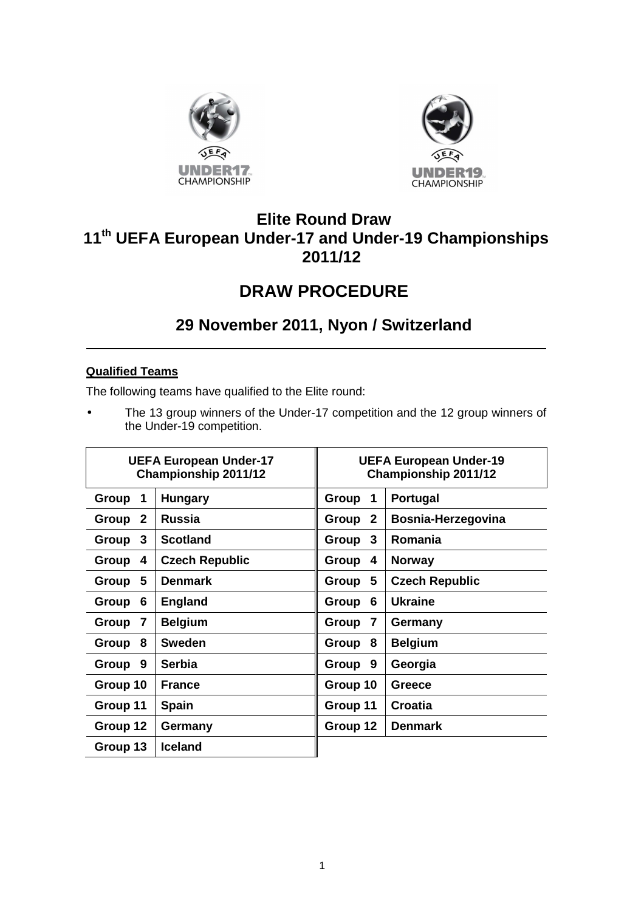



## **Elite Round Draw 11th UEFA European Under-17 and Under-19 Championships 2011/12**

# **DRAW PROCEDURE**

## **29 November 2011, Nyon / Switzerland**

### **Qualified Teams**

The following teams have qualified to the Elite round:

• The 13 group winners of the Under-17 competition and the 12 group winners of the Under-19 competition.

| <b>UEFA European Under-17</b><br><b>Championship 2011/12</b> |                       | <b>UEFA European Under-19</b><br><b>Championship 2011/12</b> |                       |
|--------------------------------------------------------------|-----------------------|--------------------------------------------------------------|-----------------------|
| Group<br>1                                                   | <b>Hungary</b>        | Group<br>$\mathbf 1$                                         | Portugal              |
| $\mathbf{2}$<br>Group                                        | <b>Russia</b>         | Group 2                                                      | Bosnia-Herzegovina    |
| 3<br>Group                                                   | <b>Scotland</b>       | Group 3                                                      | Romania               |
| Group<br>4                                                   | <b>Czech Republic</b> | Group 4                                                      | <b>Norway</b>         |
| 5<br>Group                                                   | <b>Denmark</b>        | Group 5                                                      | <b>Czech Republic</b> |
| Group<br>6                                                   | <b>England</b>        | Group<br>6                                                   | <b>Ukraine</b>        |
| Group<br>$\overline{7}$                                      | <b>Belgium</b>        | Group<br>$\overline{7}$                                      | Germany               |
| 8<br>Group                                                   | <b>Sweden</b>         | Group 8                                                      | <b>Belgium</b>        |
| Group<br>9                                                   | <b>Serbia</b>         | Group 9                                                      | Georgia               |
| Group 10                                                     | <b>France</b>         | Group 10                                                     | <b>Greece</b>         |
| Group 11                                                     | <b>Spain</b>          | Group 11                                                     | <b>Croatia</b>        |
| Group 12                                                     | Germany               | Group 12                                                     | <b>Denmark</b>        |
| Group 13                                                     | <b>Iceland</b>        |                                                              |                       |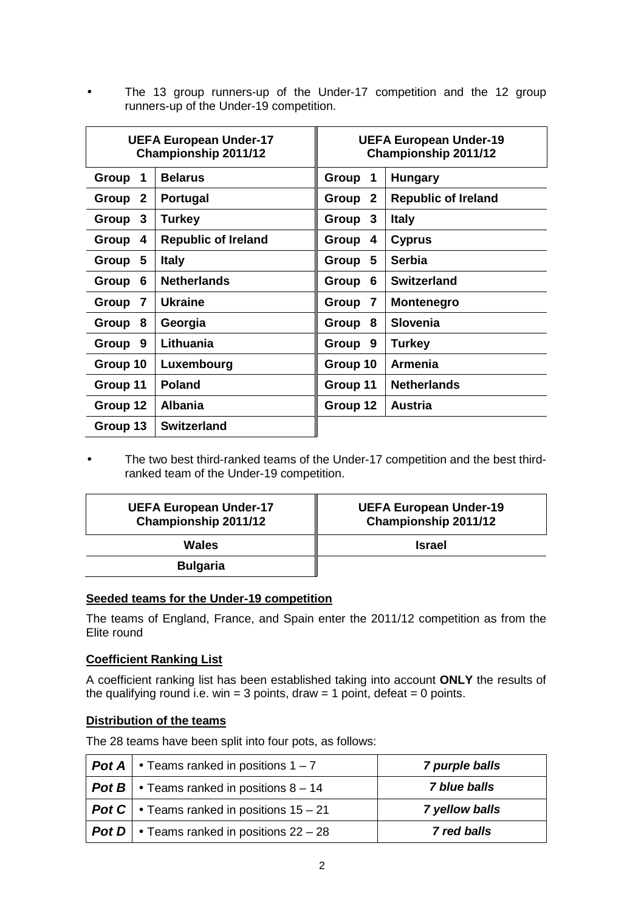• The 13 group runners-up of the Under-17 competition and the 12 group runners-up of the Under-19 competition.

| <b>UEFA European Under-17</b><br><b>Championship 2011/12</b> |                            | <b>UEFA European Under-19</b><br>Championship 2011/12 |                            |
|--------------------------------------------------------------|----------------------------|-------------------------------------------------------|----------------------------|
| Group<br>1                                                   | <b>Belarus</b>             | Group<br>1                                            | <b>Hungary</b>             |
| $\mathbf{2}$<br>Group                                        | <b>Portugal</b>            | Group<br>$\mathbf{2}$                                 | <b>Republic of Ireland</b> |
| $\mathbf{3}$<br>Group                                        | <b>Turkey</b>              | Group<br>3                                            | <b>Italy</b>               |
| Group<br>4                                                   | <b>Republic of Ireland</b> | Group<br>4                                            | <b>Cyprus</b>              |
| 5<br>Group                                                   | <b>Italy</b>               | 5<br>Group                                            | <b>Serbia</b>              |
| Group<br>6                                                   | <b>Netherlands</b>         | 6<br>Group                                            | <b>Switzerland</b>         |
| $\overline{\mathbf{r}}$<br>Group                             | Ukraine                    | $\overline{\mathbf{r}}$<br>Group                      | <b>Montenegro</b>          |
| Group<br>8                                                   | Georgia                    | 8<br>Group                                            | <b>Slovenia</b>            |
| 9<br>Group                                                   | Lithuania                  | 9<br>Group                                            | <b>Turkey</b>              |
| Group 10                                                     | Luxembourg                 | Group 10                                              | <b>Armenia</b>             |
| Group 11                                                     | <b>Poland</b>              | Group 11                                              | <b>Netherlands</b>         |
| Group 12                                                     | <b>Albania</b>             | Group 12                                              | <b>Austria</b>             |
| Group 13                                                     | <b>Switzerland</b>         |                                                       |                            |

• The two best third-ranked teams of the Under-17 competition and the best thirdranked team of the Under-19 competition.

| <b>UEFA European Under-17</b><br>Championship 2011/12 | <b>UEFA European Under-19</b><br>Championship 2011/12 |
|-------------------------------------------------------|-------------------------------------------------------|
| Wales                                                 | <b>Israel</b>                                         |
| <b>Bulgaria</b>                                       |                                                       |

#### **Seeded teams for the Under-19 competition**

The teams of England, France, and Spain enter the 2011/12 competition as from the Elite round

#### **Coefficient Ranking List**

A coefficient ranking list has been established taking into account **ONLY** the results of the qualifying round i.e. win = 3 points, draw = 1 point, defeat = 0 points.

#### **Distribution of the teams**

The 28 teams have been split into four pots, as follows:

| <b>Pot A</b> $\cdot$ Teams ranked in positions 1 - 7     | 7 purple balls |
|----------------------------------------------------------|----------------|
| <b>Pot B</b> $\cdot$ Teams ranked in positions 8 – 14    | 7 blue balls   |
| <b>Pot C</b> $\cdot$ Teams ranked in positions 15 – 21   | 7 yellow balls |
| <b>Pot D</b> $\bullet$ Teams ranked in positions 22 – 28 | 7 red balls    |